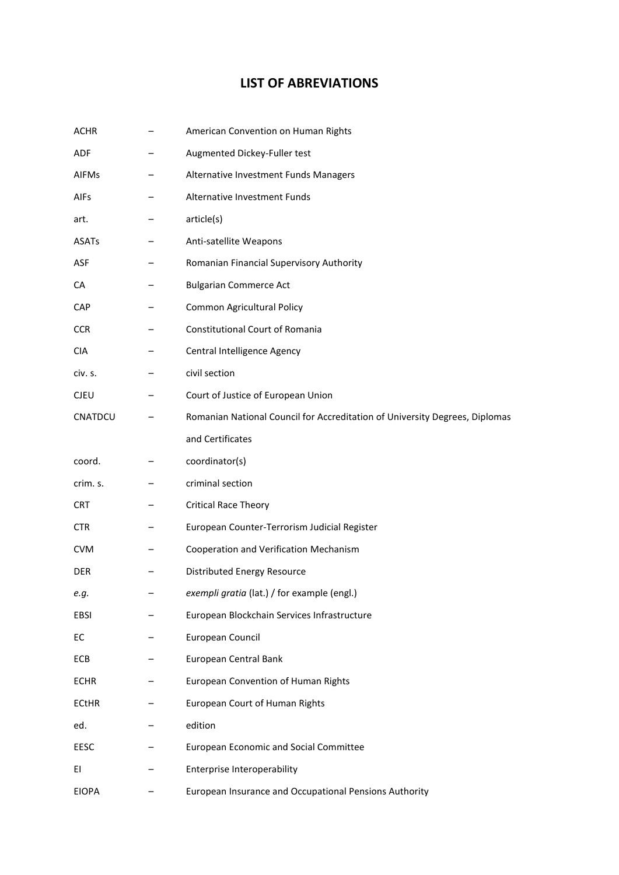## **LIST OF ABREVIATIONS**

| <b>ACHR</b>  | American Convention on Human Rights                                         |
|--------------|-----------------------------------------------------------------------------|
| <b>ADF</b>   | Augmented Dickey-Fuller test                                                |
| <b>AIFMs</b> | Alternative Investment Funds Managers                                       |
| <b>AIFs</b>  | Alternative Investment Funds                                                |
| art.         | article(s)                                                                  |
| <b>ASATs</b> | Anti-satellite Weapons                                                      |
| ASF          | Romanian Financial Supervisory Authority                                    |
| CA           | <b>Bulgarian Commerce Act</b>                                               |
| <b>CAP</b>   | Common Agricultural Policy                                                  |
| <b>CCR</b>   | Constitutional Court of Romania                                             |
| <b>CIA</b>   | Central Intelligence Agency                                                 |
| civ. s.      | civil section                                                               |
| <b>CJEU</b>  | Court of Justice of European Union                                          |
| CNATDCU      | Romanian National Council for Accreditation of University Degrees, Diplomas |
|              | and Certificates                                                            |
| coord.       | coordinator(s)                                                              |
| crim. s.     | criminal section                                                            |
| <b>CRT</b>   | <b>Critical Race Theory</b>                                                 |
| CTR.         | European Counter-Terrorism Judicial Register                                |
| <b>CVM</b>   | Cooperation and Verification Mechanism                                      |
| <b>DER</b>   | <b>Distributed Energy Resource</b>                                          |
| e.g.         | exempli gratia (lat.) / for example (engl.)                                 |
| EBSI         | European Blockchain Services Infrastructure                                 |
| EC           | European Council                                                            |
| ECB          | European Central Bank                                                       |
| <b>ECHR</b>  | European Convention of Human Rights                                         |
| <b>ECtHR</b> | European Court of Human Rights                                              |
| ed.          | edition                                                                     |
| <b>EESC</b>  | European Economic and Social Committee                                      |
| ΕI           | Enterprise Interoperability                                                 |
| <b>EIOPA</b> | European Insurance and Occupational Pensions Authority                      |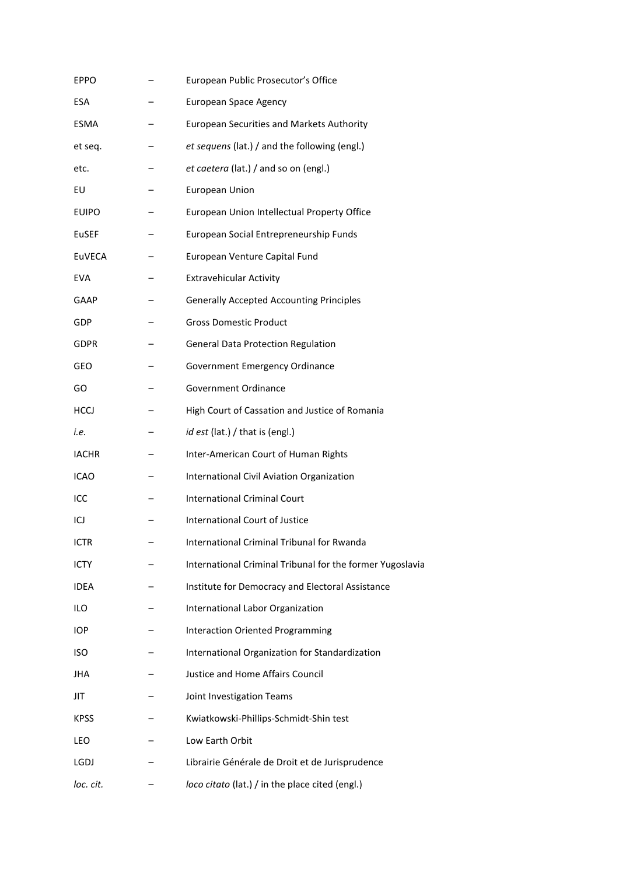| <b>EPPO</b>  | European Public Prosecutor's Office                       |
|--------------|-----------------------------------------------------------|
| <b>ESA</b>   | <b>European Space Agency</b>                              |
| <b>ESMA</b>  | <b>European Securities and Markets Authority</b>          |
| et seq.      | et sequens (lat.) / and the following (engl.)             |
| etc.         | et caetera (lat.) / and so on (engl.)                     |
| EU           | <b>European Union</b>                                     |
| <b>EUIPO</b> | European Union Intellectual Property Office               |
| EuSEF        | European Social Entrepreneurship Funds                    |
| EuVECA       | European Venture Capital Fund                             |
| <b>EVA</b>   | <b>Extravehicular Activity</b>                            |
| GAAP         | <b>Generally Accepted Accounting Principles</b>           |
| <b>GDP</b>   | <b>Gross Domestic Product</b>                             |
| <b>GDPR</b>  | <b>General Data Protection Regulation</b>                 |
| <b>GEO</b>   | Government Emergency Ordinance                            |
| GO           | Government Ordinance                                      |
| <b>HCCJ</b>  | High Court of Cassation and Justice of Romania            |
| i.e.         | id est (lat.) / that is (engl.)                           |
| <b>IACHR</b> | Inter-American Court of Human Rights                      |
| <b>ICAO</b>  | International Civil Aviation Organization                 |
| ICC          | <b>International Criminal Court</b>                       |
| ICJ          | International Court of Justice                            |
| <b>ICTR</b>  | International Criminal Tribunal for Rwanda                |
| <b>ICTY</b>  | International Criminal Tribunal for the former Yugoslavia |
| <b>IDEA</b>  | Institute for Democracy and Electoral Assistance          |
| <b>ILO</b>   | International Labor Organization                          |
| <b>IOP</b>   | <b>Interaction Oriented Programming</b>                   |
| <b>ISO</b>   | International Organization for Standardization            |
| <b>JHA</b>   | Justice and Home Affairs Council                          |
| JIT          | Joint Investigation Teams                                 |
| <b>KPSS</b>  | Kwiatkowski-Phillips-Schmidt-Shin test                    |
| LEO          | Low Earth Orbit                                           |
| LGDJ         | Librairie Générale de Droit et de Jurisprudence           |
| loc. cit.    | loco citato (lat.) / in the place cited (engl.)           |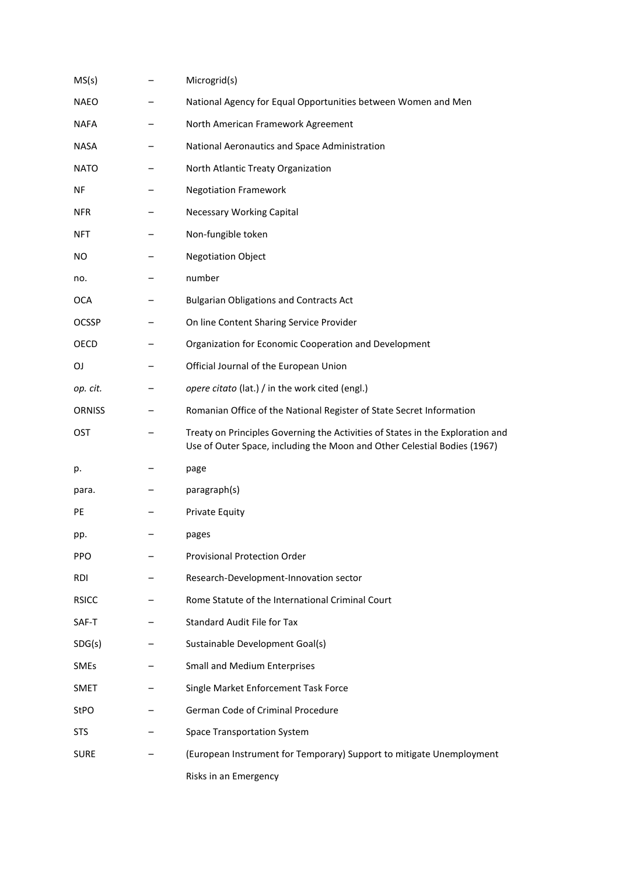| MS(s)         | Microgrid(s)                                                                                                                                               |
|---------------|------------------------------------------------------------------------------------------------------------------------------------------------------------|
| <b>NAEO</b>   | National Agency for Equal Opportunities between Women and Men                                                                                              |
| <b>NAFA</b>   | North American Framework Agreement                                                                                                                         |
| <b>NASA</b>   | National Aeronautics and Space Administration                                                                                                              |
| <b>NATO</b>   | North Atlantic Treaty Organization                                                                                                                         |
| ΝF            | <b>Negotiation Framework</b>                                                                                                                               |
| <b>NFR</b>    | <b>Necessary Working Capital</b>                                                                                                                           |
| <b>NFT</b>    | Non-fungible token                                                                                                                                         |
| NO.           | <b>Negotiation Object</b>                                                                                                                                  |
| no.           | number                                                                                                                                                     |
| OCA           | <b>Bulgarian Obligations and Contracts Act</b>                                                                                                             |
| <b>OCSSP</b>  | On line Content Sharing Service Provider                                                                                                                   |
| OECD          | Organization for Economic Cooperation and Development                                                                                                      |
| OJ            | Official Journal of the European Union                                                                                                                     |
| op. cit.      | opere citato (lat.) / in the work cited (engl.)                                                                                                            |
| <b>ORNISS</b> | Romanian Office of the National Register of State Secret Information                                                                                       |
| <b>OST</b>    | Treaty on Principles Governing the Activities of States in the Exploration and<br>Use of Outer Space, including the Moon and Other Celestial Bodies (1967) |
| p.            | page                                                                                                                                                       |
| para.         | paragraph(s)                                                                                                                                               |
| PE            | Private Equity                                                                                                                                             |
| pp.           | pages                                                                                                                                                      |
| <b>PPO</b>    | <b>Provisional Protection Order</b>                                                                                                                        |
| RDI           | Research-Development-Innovation sector                                                                                                                     |
| <b>RSICC</b>  | Rome Statute of the International Criminal Court                                                                                                           |
| SAF-T         | <b>Standard Audit File for Tax</b>                                                                                                                         |
| SDG(s)        | Sustainable Development Goal(s)                                                                                                                            |
| <b>SMEs</b>   | <b>Small and Medium Enterprises</b>                                                                                                                        |
| <b>SMET</b>   | Single Market Enforcement Task Force                                                                                                                       |
| <b>StPO</b>   | German Code of Criminal Procedure                                                                                                                          |
| <b>STS</b>    | <b>Space Transportation System</b>                                                                                                                         |
| <b>SURE</b>   | (European Instrument for Temporary) Support to mitigate Unemployment                                                                                       |
|               | Risks in an Emergency                                                                                                                                      |